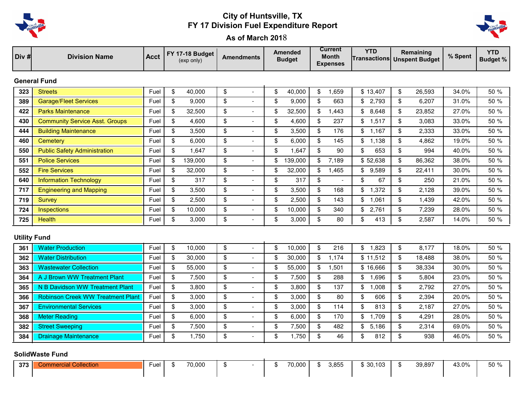

## City of Huntsville, TX FY 17 Division Fuel Expenditure Report



As of March 2018

| Div #                  | <b>Division Name</b>                     | <b>Acct</b> |    | FY 17-18 Budget<br>(exp only) |                         | <b>Amendments</b>        |    | <b>Amended</b><br><b>Budget</b> |                         | <b>Current</b><br><b>Month</b><br><b>Expenses</b> |                | <b>YTD</b><br><b>Transactions Unspent Budget</b> |    | Remaining | % Spent | <b>YTD</b><br><b>Budget %</b> |
|------------------------|------------------------------------------|-------------|----|-------------------------------|-------------------------|--------------------------|----|---------------------------------|-------------------------|---------------------------------------------------|----------------|--------------------------------------------------|----|-----------|---------|-------------------------------|
| <b>General Fund</b>    |                                          |             |    |                               |                         |                          |    |                                 |                         |                                                   |                |                                                  |    |           |         |                               |
| 323                    | <b>Streets</b>                           | Fuel        | \$ | 40,000                        | \$                      | $\overline{\phantom{a}}$ | \$ | 40,000                          | \$                      | 1,659                                             |                | \$13,407                                         | \$ | 26,593    | 34.0%   | 50 %                          |
| 389                    | <b>Garage/Fleet Services</b>             | Fuel        | \$ | 9,000                         | \$                      | $\overline{a}$           | \$ | 9,000                           | $\sqrt[6]{\frac{1}{2}}$ | 663                                               |                | \$2,793                                          | \$ | 6,207     | 31.0%   | 50 %                          |
| 422                    | <b>Parks Maintenance</b>                 | Fuel        | \$ | 32,500                        | \$                      | $\blacksquare$           | \$ | 32,500                          | $\mathfrak{F}$          | 1,443                                             | \$             | 8,648                                            | \$ | 23,852    | 27.0%   | 50 %                          |
| 430                    | <b>Community Service Asst. Groups</b>    | Fuel        | \$ | 4,600                         | \$                      | $\blacksquare$           | \$ | 4,600                           | \$                      | 237                                               | \$             | 1,517                                            | \$ | 3,083     | 33.0%   | 50 %                          |
| 444                    | <b>Building Maintenance</b>              | Fuel        | \$ | 3,500                         | \$                      | $\blacksquare$           | \$ | 3,500                           | \$                      | 176                                               | \$             | 1.167                                            | \$ | 2,333     | 33.0%   | 50 %                          |
| 460                    | Cemetery                                 | Fuel        | \$ | 6,000                         | \$                      | $\overline{\phantom{a}}$ | \$ | 6,000                           | \$                      | 145                                               |                | \$1.138                                          | \$ | 4,862     | 19.0%   | 50%                           |
| 550                    | <b>Public Safety Administration</b>      | Fuel        | \$ | 1,647                         | \$                      |                          | \$ | 1,647                           | $\sqrt[6]{\frac{1}{2}}$ | 90                                                | \$             | 653                                              | \$ | 994       | 40.0%   | 50 %                          |
| 551                    | <b>Police Services</b>                   | Fuel        | \$ | 139,000                       | \$                      | $\sim$                   | \$ | 139,000                         | $\mathfrak{F}$          | 7,189                                             |                | \$52,638                                         | \$ | 86,362    | 38.0%   | 50 %                          |
| 552                    | <b>Fire Services</b>                     | Fuel        | \$ | 32,000                        | \$                      | $\overline{a}$           | \$ | 32,000                          | \$                      | 1,465                                             | $\mathbb{S}$   | 9,589                                            | \$ | 22,411    | 30.0%   | 50 %                          |
| 640                    | <b>Information Technology</b>            | Fuel        | \$ | 317                           | \$                      |                          | \$ | 317                             | \$                      |                                                   | $\mathfrak{s}$ | 67                                               | \$ | 250       | 21.0%   | 50 %                          |
| 717                    | <b>Engineering and Mapping</b>           | Fuel        | \$ | 3,500                         | \$                      | $\overline{\phantom{a}}$ | \$ | 3,500                           | \$                      | 168                                               | \$             | 1,372                                            | \$ | 2,128     | 39.0%   | 50 %                          |
| 719                    | <b>Survey</b>                            | Fuel        | \$ | 2,500                         | \$                      |                          | \$ | 2,500                           | \$                      | 143                                               | \$             | 1,061                                            | \$ | 1,439     | 42.0%   | 50 %                          |
| 724                    | Inspections                              | Fuel        | \$ | 10,000                        | \$                      | $\blacksquare$           | \$ | 10,000                          | \$                      | 340                                               | \$             | 2,761                                            | \$ | 7,239     | 28.0%   | 50 %                          |
| 725                    | <b>Health</b>                            | Fuel        | \$ | 3.000                         | \$                      |                          | \$ | 3,000                           | $\mathfrak s$           | 80                                                | \$             | 413                                              | \$ | 2,587     | 14.0%   | 50 %                          |
| <b>Utility Fund</b>    |                                          |             |    |                               |                         |                          |    |                                 |                         |                                                   |                |                                                  |    |           |         |                               |
| 361                    | <b>Water Production</b>                  | Fuel        | \$ | 10,000                        | \$                      | $\sim$                   | \$ | 10,000                          | \$                      | 216                                               |                | \$1,823                                          | \$ | 8,177     | 18.0%   | 50 %                          |
| 362                    | <b>Water Distribution</b>                | Fuel        | \$ | 30,000                        | \$                      | $\sim$                   | \$ | 30,000                          | $\mathfrak{F}$          | 1,174                                             |                | \$11,512                                         | \$ | 18,488    | 38.0%   | 50 %                          |
| 363                    | <b>Wastewater Collection</b>             | Fuel        | \$ | 55,000                        | $\sqrt[6]{\frac{1}{2}}$ | $\overline{\phantom{a}}$ | \$ | 55,000                          | \$                      | 1,501                                             |                | \$16,666                                         | \$ | 38,334    | 30.0%   | 50 %                          |
| 364                    | A J Brown WW Treatment Plant             | Fuel        | \$ | 7,500                         | \$                      |                          | \$ | 7,500                           | \$                      | 288                                               |                | \$1,696                                          | \$ | 5,804     | 23.0%   | 50 %                          |
| 365                    | N B Davidson WW Treatment Plant          | Fuel        | \$ | 3,800                         | \$                      | $\sim$                   | \$ | 3,800                           | $\mathfrak{F}$          | 137                                               | \$             | 1,008                                            | \$ | 2,792     | 27.0%   | 50 %                          |
| 366                    | <b>Robinson Creek WW Treatment Plant</b> | Fuel        | \$ | 3,000                         | $\sqrt[6]{\frac{1}{2}}$ | $\overline{\phantom{a}}$ | \$ | 3,000                           | $\mathfrak{F}$          | 80                                                | \$             | 606                                              | \$ | 2,394     | 20.0%   | 50 %                          |
| 367                    | <b>Environmental Services</b>            | Fuel        | \$ | 3,000                         | $\sqrt[6]{\frac{1}{2}}$ | $\blacksquare$           | \$ | 3,000                           | $\sqrt[6]{\frac{1}{2}}$ | 114                                               | $\mathfrak{s}$ | 813                                              | \$ | 2,187     | 27.0%   | 50 %                          |
| 368                    | <b>Meter Reading</b>                     | Fuel        | \$ | 6,000                         | \$                      | $\overline{\phantom{a}}$ | \$ | 6,000                           | \$                      | 170                                               | \$             | 1,709                                            | \$ | 4,291     | 28.0%   | 50 %                          |
| 382                    | <b>Street Sweeping</b>                   | Fuel        | \$ | 7,500                         | \$                      |                          | \$ | 7,500                           | \$                      | 482                                               | \$             | 5,186                                            | \$ | 2,314     | 69.0%   | 50 %                          |
| 384                    | <b>Drainage Maintenance</b>              | Fuel        | \$ | 1,750                         | \$                      |                          | \$ | 1,750                           | $\mathfrak s$           | 46                                                | \$             | 812                                              | \$ | 938       | 46.0%   | 50%                           |
| <b>SolidWaste Fund</b> |                                          |             |    |                               |                         |                          |    |                                 |                         |                                                   |                |                                                  |    |           |         |                               |
| 373                    | <b>Commercial Collection</b>             | Fuel        | \$ | 70,000                        | \$                      |                          | \$ | 70,000                          | \$                      | 3,855                                             |                | \$30,103                                         | \$ | 39,897    | 43.0%   | 50 %                          |